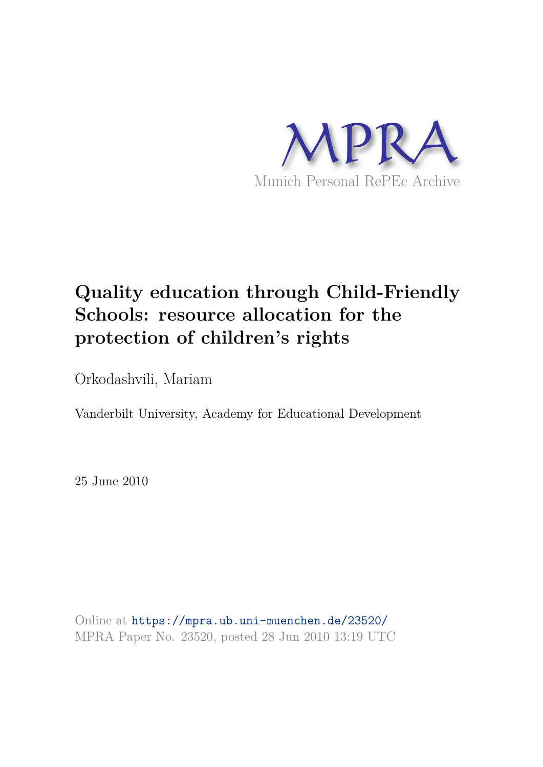

# **Quality education through Child-Friendly Schools: resource allocation for the protection of children's rights**

Orkodashvili, Mariam

Vanderbilt University, Academy for Educational Development

25 June 2010

Online at https://mpra.ub.uni-muenchen.de/23520/ MPRA Paper No. 23520, posted 28 Jun 2010 13:19 UTC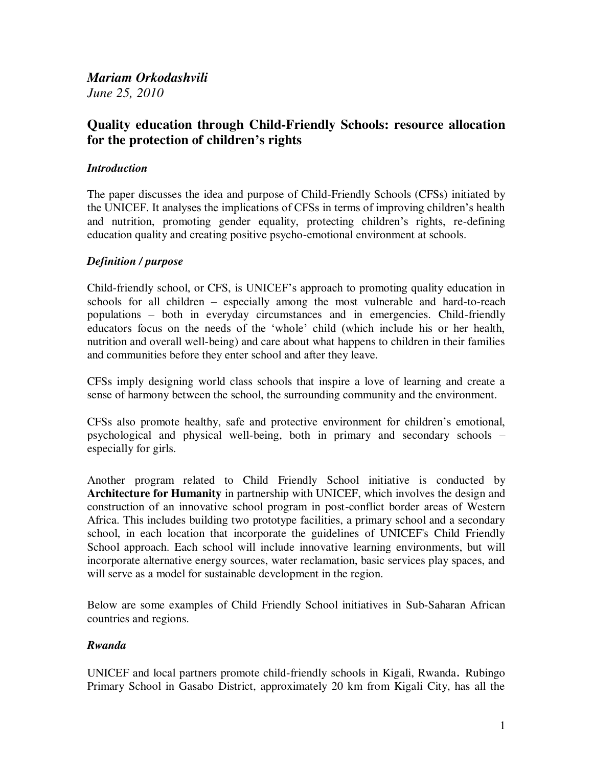## *Mariam Orkodashvili June 25, 2010*

# **Quality education through Child-Friendly Schools: resource allocation for the protection of children's rights**

## *Introduction*

The paper discusses the idea and purpose of Child-Friendly Schools (CFSs) initiated by the UNICEF. It analyses the implications of CFSs in terms of improving children's health and nutrition, promoting gender equality, protecting children's rights, re-defining education quality and creating positive psycho-emotional environment at schools.

### *Definition / purpose*

Child-friendly school, or CFS, is UNICEF's approach to promoting quality education in schools for all children – especially among the most vulnerable and hard-to-reach populations – both in everyday circumstances and in emergencies. Child-friendly educators focus on the needs of the 'whole' child (which include his or her health, nutrition and overall well-being) and care about what happens to children in their families and communities before they enter school and after they leave.

CFSs imply designing world class schools that inspire a love of learning and create a sense of harmony between the school, the surrounding community and the environment.

CFSs also promote healthy, safe and protective environment for children's emotional, psychological and physical well-being, both in primary and secondary schools – especially for girls.

Another program related to Child Friendly School initiative is conducted by **Architecture for Humanity** in partnership with UNICEF, which involves the design and construction of an innovative school program in post-conflict border areas of Western Africa. This includes building two prototype facilities, a primary school and a secondary school, in each location that incorporate the guidelines of UNICEF's Child Friendly School approach. Each school will include innovative learning environments, but will incorporate alternative energy sources, water reclamation, basic services play spaces, and will serve as a model for sustainable development in the region.

Below are some examples of Child Friendly School initiatives in Sub-Saharan African countries and regions.

### *Rwanda*

UNICEF and local partners promote child-friendly schools in Kigali, Rwanda. Rubingo Primary School in Gasabo District, approximately 20 km from Kigali City, has all the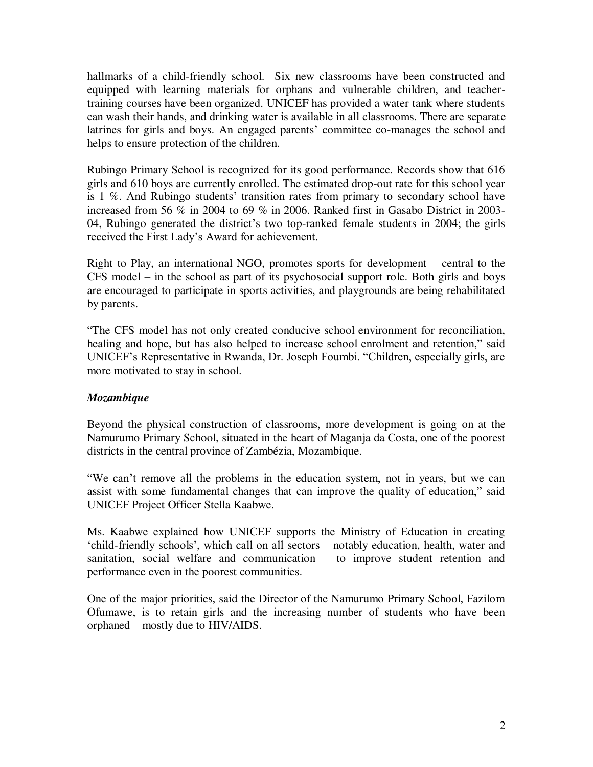hallmarks of a child-friendly school. Six new classrooms have been constructed and equipped with learning materials for orphans and vulnerable children, and teachertraining courses have been organized. UNICEF has provided a water tank where students can wash their hands, and drinking water is available in all classrooms. There are separate latrines for girls and boys. An engaged parents' committee co-manages the school and helps to ensure protection of the children.

Rubingo Primary School is recognized for its good performance. Records show that 616 girls and 610 boys are currently enrolled. The estimated drop-out rate for this school year is 1 %. And Rubingo students' transition rates from primary to secondary school have increased from 56 % in 2004 to 69 % in 2006. Ranked first in Gasabo District in 2003- 04, Rubingo generated the district's two top-ranked female students in 2004; the girls received the First Lady's Award for achievement.

Right to Play, an international NGO, promotes sports for development – central to the CFS model – in the school as part of its psychosocial support role. Both girls and boys are encouraged to participate in sports activities, and playgrounds are being rehabilitated by parents.

―The CFS model has not only created conducive school environment for reconciliation, healing and hope, but has also helped to increase school enrolment and retention," said UNICEF's Representative in Rwanda, Dr. Joseph Foumbi. "Children, especially girls, are more motivated to stay in school.

### *Mozambique*

Beyond the physical construction of classrooms, more development is going on at the Namurumo Primary School, situated in the heart of Maganja da Costa, one of the poorest districts in the central province of Zambézia, Mozambique.

We can't remove all the problems in the education system, not in years, but we can assist with some fundamental changes that can improve the quality of education," said UNICEF Project Officer Stella Kaabwe.

Ms. Kaabwe explained how UNICEF supports the Ministry of Education in creating ‗child-friendly schools', which call on all sectors – notably education, health, water and sanitation, social welfare and communication – to improve student retention and performance even in the poorest communities.

One of the major priorities, said the Director of the Namurumo Primary School, Fazilom Ofumawe, is to retain girls and the increasing number of students who have been orphaned – mostly due to HIV/AIDS.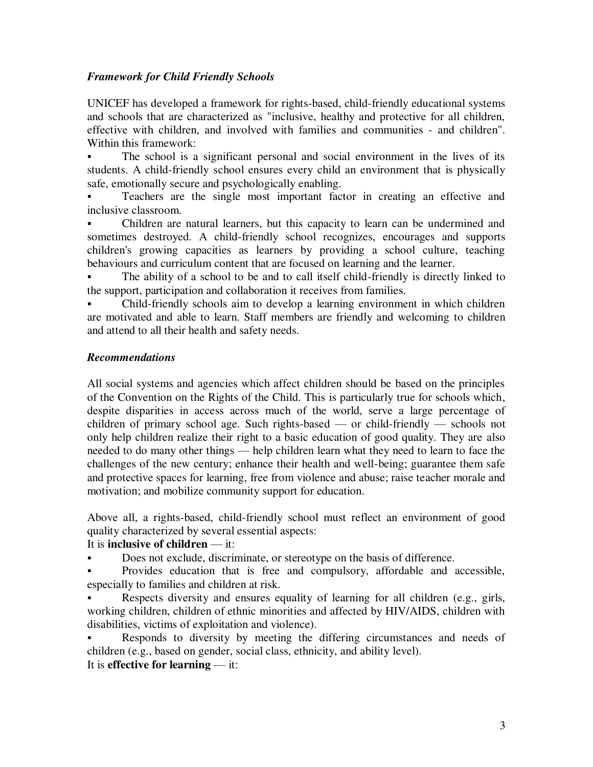## *Framework for Child Friendly Schools*

UNICEF has developed a [framework for rights-based, child-friendly educational systems](http://www.unicef.org/lifeskills/index_7260.html#A Framework for Rights-Based, Child-Friendly#A Framework for Rights-Based, Child-Friendly)  [and schools](http://www.unicef.org/lifeskills/index_7260.html#A Framework for Rights-Based, Child-Friendly#A Framework for Rights-Based, Child-Friendly) that are characterized as "inclusive, healthy and protective for all children, effective with children, and involved with families and communities - and children". Within this framework:

 The school is a significant personal and social environment in the lives of its students. A child-friendly school ensures every child an environment that is physically safe, emotionally secure and psychologically enabling.

 Teachers are the single most important factor in creating an effective and inclusive classroom.

 Children are natural learners, but this capacity to learn can be undermined and sometimes destroyed. A child-friendly school recognizes, encourages and supports children's growing capacities as learners by providing a school culture, teaching behaviours and curriculum content that are focused on learning and the learner.

 The ability of a school to be and to call itself child-friendly is directly linked to the support, participation and collaboration it receives from families.

 Child-friendly schools aim to develop a learning environment in which children are motivated and able to learn. Staff members are friendly and welcoming to children and attend to all their health and safety needs.

### *Recommendations*

All social systems and agencies which affect children should be based on the principles of the Convention on the Rights of the Child. This is particularly true for schools which, despite disparities in access across much of the world, serve a large percentage of children of primary school age. Such rights-based — or child-friendly — schools not only help children realize their right to a basic education of good quality. They are also needed to do many other things — help children learn what they need to learn to face the challenges of the new century; enhance their health and well-being; guarantee them safe and protective spaces for learning, free from violence and abuse; raise teacher morale and motivation; and mobilize community support for education.

Above all, a rights-based, child-friendly school must reflect an environment of good quality characterized by several essential aspects:

### It is **inclusive of children** — it:

Does not exclude, discriminate, or stereotype on the basis of difference.

 Provides education that is free and compulsory, affordable and accessible, especially to families and children at risk.

 Respects diversity and ensures equality of learning for all children (e.g., girls, working children, children of ethnic minorities and affected by HIV/AIDS, children with disabilities, victims of exploitation and violence).

 Responds to diversity by meeting the differing circumstances and needs of children (e.g., based on gender, social class, ethnicity, and ability level). It is **effective for learning** — it: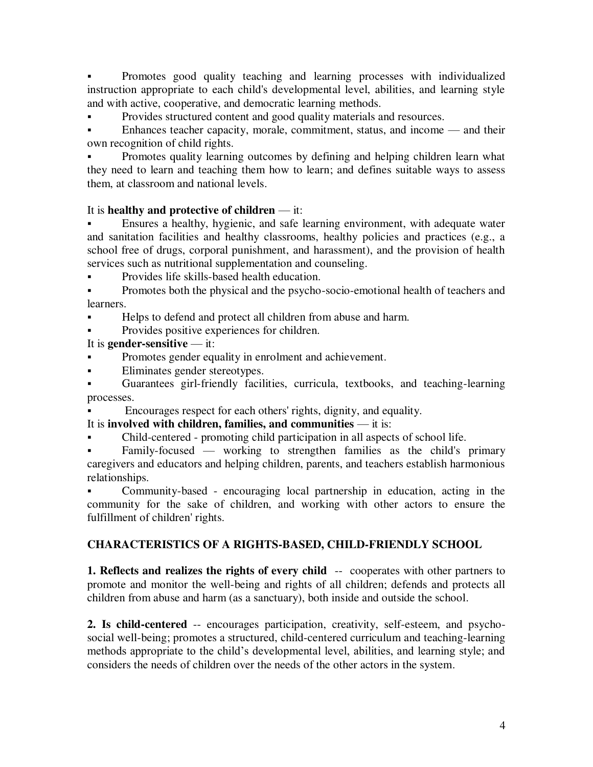Promotes good quality teaching and learning processes with individualized instruction appropriate to each child's developmental level, abilities, and learning style and with active, cooperative, and democratic learning methods.

Provides structured content and good quality materials and resources.

 Enhances teacher capacity, morale, commitment, status, and income — and their own recognition of child rights.

 Promotes quality learning outcomes by defining and helping children learn what they need to learn and teaching them how to learn; and defines suitable ways to assess them, at classroom and national levels.

### It is **healthy and protective of children** — it:

 Ensures a healthy, hygienic, and safe learning environment, with adequate water and sanitation facilities and healthy classrooms, healthy policies and practices (e.g., a school free of drugs, corporal punishment, and harassment), and the provision of health services such as nutritional supplementation and counseling.

Provides life skills-based health education.

 Promotes both the physical and the psycho-socio-emotional health of teachers and learners.

Helps to defend and protect all children from abuse and harm.

**Provides positive experiences for children.** 

#### It is **gender-sensitive** — it:

- Promotes gender equality in enrolment and achievement.
- Eliminates gender stereotypes.

 Guarantees girl-friendly facilities, curricula, textbooks, and teaching-learning processes.

Encourages respect for each others' rights, dignity, and equality.

### It is **involved with children, families, and communities** — it is:

Child-centered - promoting child participation in all aspects of school life.

 Family-focused — working to strengthen families as the child's primary caregivers and educators and helping children, parents, and teachers establish harmonious relationships.

 Community-based - encouraging local partnership in education, acting in the community for the sake of children, and working with other actors to ensure the fulfillment of children' rights.

### **CHARACTERISTICS OF A RIGHTS-BASED, CHILD-FRIENDLY SCHOOL**

**1. Reflects and realizes the rights of every child** -- cooperates with other partners to promote and monitor the well-being and rights of all children; defends and protects all children from abuse and harm (as a sanctuary), both inside and outside the school.

**2. Is child-centered** -- encourages participation, creativity, self-esteem, and psychosocial well-being; promotes a structured, child-centered curriculum and teaching-learning methods appropriate to the child's developmental level, abilities, and learning style; and considers the needs of children over the needs of the other actors in the system.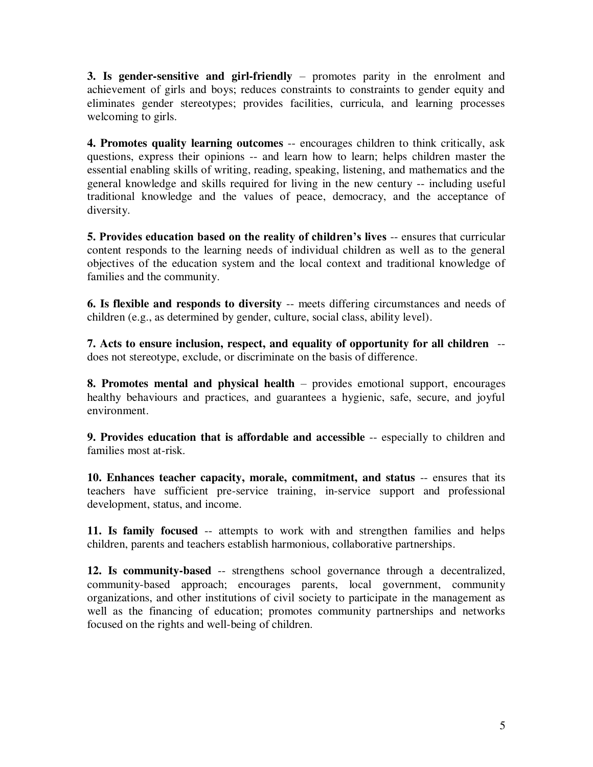**3. Is gender-sensitive and girl-friendly** – promotes parity in the enrolment and achievement of girls and boys; reduces constraints to constraints to gender equity and eliminates gender stereotypes; provides facilities, curricula, and learning processes welcoming to girls.

**4. Promotes quality learning outcomes** -- encourages children to think critically, ask questions, express their opinions -- and learn how to learn; helps children master the essential enabling skills of writing, reading, speaking, listening, and mathematics and the general knowledge and skills required for living in the new century -- including useful traditional knowledge and the values of peace, democracy, and the acceptance of diversity.

**5. Provides education based on the reality of children's lives** -- ensures that curricular content responds to the learning needs of individual children as well as to the general objectives of the education system and the local context and traditional knowledge of families and the community.

**6. Is flexible and responds to diversity** -- meets differing circumstances and needs of children (e.g., as determined by gender, culture, social class, ability level).

**7. Acts to ensure inclusion, respect, and equality of opportunity for all children** - does not stereotype, exclude, or discriminate on the basis of difference.

**8. Promotes mental and physical health** – provides emotional support, encourages healthy behaviours and practices, and guarantees a hygienic, safe, secure, and joyful environment.

**9. Provides education that is affordable and accessible** -- especially to children and families most at-risk.

**10. Enhances teacher capacity, morale, commitment, and status** -- ensures that its teachers have sufficient pre-service training, in-service support and professional development, status, and income.

**11. Is family focused** -- attempts to work with and strengthen families and helps children, parents and teachers establish harmonious, collaborative partnerships.

**12. Is community-based** -- strengthens school governance through a decentralized, community-based approach; encourages parents, local government, community organizations, and other institutions of civil society to participate in the management as well as the financing of education; promotes community partnerships and networks focused on the rights and well-being of children.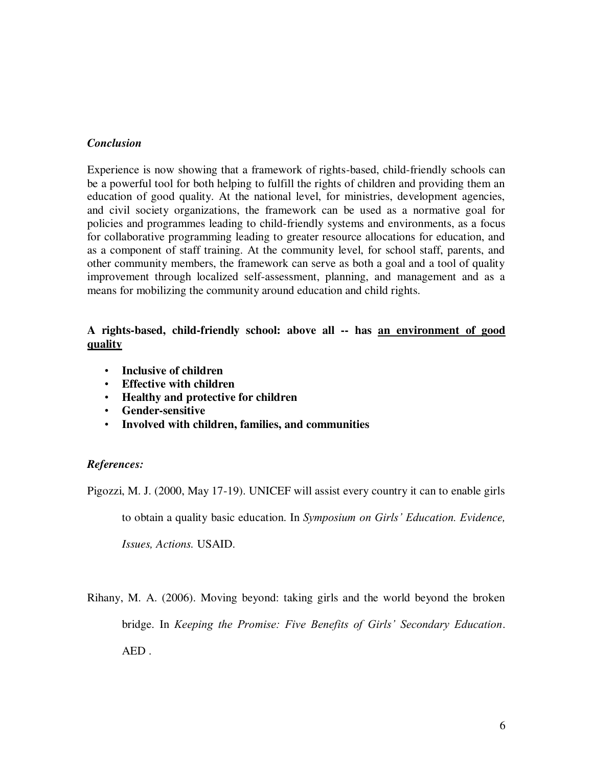#### *Conclusion*

Experience is now showing that a framework of rights-based, child-friendly schools can be a powerful tool for both helping to fulfill the rights of children and providing them an education of good quality. At the national level, for ministries, development agencies, and civil society organizations, the framework can be used as a normative goal for policies and programmes leading to child-friendly systems and environments, as a focus for collaborative programming leading to greater resource allocations for education, and as a component of staff training. At the community level, for school staff, parents, and other community members, the framework can serve as both a goal and a tool of quality improvement through localized self-assessment, planning, and management and as a means for mobilizing the community around education and child rights.

#### **A rights-based, child-friendly school: above all -- has an environment of good quality**

- **Inclusive of children**
- **Effective with children**
- **Healthy and protective for children**
- **Gender-sensitive**
- **Involved with children, families, and communities**

#### *References:*

Pigozzi, M. J. (2000, May 17-19). UNICEF will assist every country it can to enable girls

to obtain a quality basic education. In *Symposium on Girls' Education. Evidence,* 

*Issues, Actions.* USAID.

Rihany, M. A. (2006). Moving beyond: taking girls and the world beyond the broken bridge. In *Keeping the Promise: Five Benefits of Girls' Secondary Education*. AED .